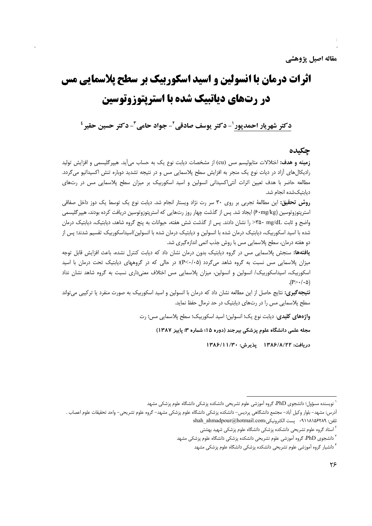# **اثرات درمان با انسولین و اسید اسکوربیک بر سطح پلاسمایی مس** در رتههای دیاتبیک شده با استریتوزوتوسین

دكتر شهريار احمديور ل- دكتر يوسف صادقي ً- جواد حامي ً- دكتر حسين حقير '

## حكىدە

**زمینه و هدف:** اختلالات متابولیسم مس (cu) از مشخصات دیابت نوع یک به حساب م<sub>ی ا</sub>ید. هیپرگلیسمی و افزایش تولید رادیکال های آزاد در دیات نوع یک منجر به افزایش سطح پلاسمایی مس و در نتیجه تشدید دوباره تنش اکسیداتیو می گردد. مطالعه حاضر با هدف تعیین اثرات آنتی|کسیدانی انسولین و اسید اسکوربیک بر میزان سطح پلاسمایی مس در رتهای دیابتیکشده انجام شد.

**روش تحقیق:** این مطالعهٔ تجربی بر روی ۳۰ سر رت نژاد ویستار انجام شد. دیابت نوع یک توسط یک دوز داخل صفاقی استرپتوزوتوسین (۶۰mg/kg) ایجاد شد. پس از گذشت چهار روز رتهایی که استرپتوزوتوسین دریافت کرده بودند، هیپرگلیسمی واضح و ثابت mg/dL< را نشان دادند. پس از گذشت شش هفته، حیوانات به پنج گروه شاهد، دیابتیک، دیابتیک درمان شده با اسید اسکوربیک، دیابتیک درمان شده با انسولین و دیابتیک درمان شده با انسولین/اسیداسکوربیک تقسیم شدند؛ پس از دو هفته درمان، سطح پلاسمایی مس با روش جذب اتمی اندازهگیری شد.

**یافتهها:** سنجش پلاسمایی مس در گروه دیابتیک بدون درمان نشان داد که دیابت کنترل نشده، باعث افزایش قابل توجه میزان پلاسمایی مس نسبت به گروه شاهد میگردد (P<٠/٠۵)؛ در حالی که در گروههای دیابتیک تحت درمان با اسید اسکوربیک، اسیداسکوربیک/ انسولین و انسولین، میزان پلاسمایی مس اختلاف معنیداری نسبت به گروه شاهد نشان نداد  $(P > \cdot / \cdot \Delta)$ 

**نتيجه گيري:** نتايج حاصل از اين مطالعه نشان داد كه درمان با انسولين و اسيد اسكورييک به صورت منفرد يا تركيبي مي تواند سطح پلاسمایی مس را در رتهای دیابتیک در حد نرمال حفظ نماید.

واژههای کلیدی: دیابت نوع یک؛ انسولین؛ اسید اسکوربیک؛ سطح پلاسمایی مس؛ رت

مجله علمی دانشگاه علوم پزشکی بیرجند (دوره ۱۵؛ شماره ۳؛ پاییز ۱۳۸۷)

دريافت: ١٣٨۶/٨/٢٢ پذيرش: ١٣٨۶/١١/٣٠

نویسنده مسؤول؛ دانشجوی PhD، گروه آموزشی علوم تشریحی دانشکده پزشکی دانشگاه علوم پزشکی مشهد '

أدرس: مشهد– بلوار وكيل أباد– مجتمع دانشگاهي پرديس– دانشكده پزشكي دانشگاه علوم پزشكي مشهد– گروه علوم تشريحي– واحد تحقيقات علوم اعصاب . shah\_ahmadpour@hotmail.com: پست الكترونيكي<br>•۹۱۱۸۱۵۶۲۸۹ • ۹۰

<sup>&</sup>lt;sup>۲</sup> استاد گروه علوم تشریحی دانشکده پزشکی دانشگاه علوم پزشکی شهید بهشتی

<sup>&</sup>lt;sup>۳</sup> دانشجوی PhD، گروه آموزشی علوم تشریحی دانشکده پزشکی دانشگاه علوم پزشکی مشهد

<sup>&</sup>lt;sup>۴</sup> دانشیار گروه آموزشی علوم تشریحی دانشکده پزشکی دانشگاه علوم پزشکی مشهد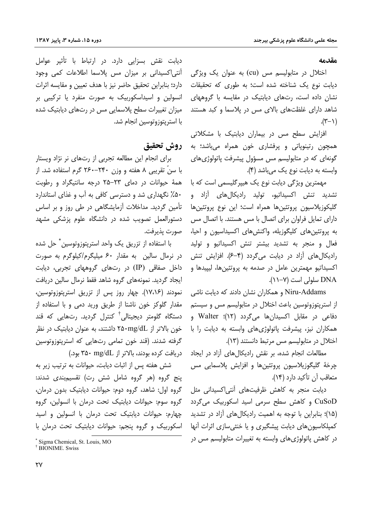### مقدمه

اختلال در متابولیسم مس (cu) به عنوان یک ویژگی دیابت نوع یک شناخته شده است؛ به طوری که تحقیقات نشان داده است، رتهای دیابتیک در مقایسه با گروههای شاهد دارای غلظتهای بالای مس در پلاسما و کبد هستند  $(\tau - \gamma)$ .

افزایش سطح مس در بیماران دیابتیک با مشکلاتی همچون رتینوپاتی و پرفشاری خون همراه میباشد؛ به گونهای که در متابولیسم مس مسؤول پیشرفت پاتولوژیهای وابسته به دیابت نوع یک میباشد (۴).

مهمترین ویژگی دیابت نوع یک هیپرگلیسمی است که با تشدید تنش اکسیداتیو، تولید رادیکالهای آزاد و گلیکوزیلاسیون پروتئینها همراه است؛ این نوع پروتئینها دارای تمایل فراوان برای اتصال با مس هستند. با اتصال مس به پروتئینهای کلیگوزیله، واکنشهای اکسیداسیون و احیا، فعال و منجر به تشدید بیشتر تنش اکسیداتیو و تولید رادیکال های آزاد در دیابت می گردد (۴-۶). افزایش تنش اکسیداتیو مهمترین عامل در صدمه به پروتئینها، لیپیدها و DNA سلولی است (۷-۱۱).

Niru-Addams و همکاران نشان دادند که دیابت ناشی از استریتوزوتوسین باعث اختلال در متابولیسم مس و سیستم دفاعی در مقابل اکسیدانها میگردد (۱۲)؛ Walter و همکاران نیز، پیشرفت پاتولوژیهای وابسته به دیابت را با اختلال در متابولیسم مس مرتبط دانستند (١٣).

مطالعات انجام شده، بر نقش رادیکالهای آزاد در ایجاد چرخهٔ گلیگوزیلاسیون پروتئینها و افزایش پلاسمایی مس متعاقب آن تأكيد دارد (١۴).

دیابت منجر به کاهش ظرفیتهای آنتی|کسیدانی مثل CuSoD و کاهش سطح سرمی اسید اسکوربیک می گردد (۱۵)؛ بنابراین با توجه به اهمیت رادیکال های آزاد در تشدید کمیلکاسیونهای دیابت پیشگیری و یا خنثی سازی اثرات آنها در کاهش یاتولوژیهای وابسته به تغییرات متابولیسم مس در

دیابت نقش بسزایی دارد. در ارتباط با تأثیر عوامل آنتی اکسیدانی بر میزان مس پلاسما اطلاعات کمی وجود دارد؛ بنابراین تحقیق حاضر نیز با هدف تعیین و مقایسه اثرات انسولین و اسیداسکوربیک به صورت منفرد یا ترکیبی بر میزان تغییرات سطح پلاسمایی مس در رتهای دیابتیک شده با استريتوزوتوسين انجام شد.

# روش تحقيق

برای انجام این مطالعه تجربی از رتهای نر نژاد ویستار با سنّ تقریبی ۸ هفته و وزن ۲۴۰–۲۶۰ گرم استفاده شد. از همهٔ حیوانات در دمای ۲۳–۲۵ درجه سانتیگراد و رطوبت ۵۰٪ نگهداری شد و دسترسی کافی به آب و غذای استاندارد تأمین گردید. مداخلات آزمایشگاهی در طی روز و بر اساس دستورالعمل تصویب شده در دانشگاه علوم پزشکی مشهد صورت يذيرفت.

با استفاده از تزریق یک واحد استریتوزوتوسین ٌ حل شده در نرمال سالین به مقدار ۶۰ میلیگرم/کیلوگرم به صورت داخل صفاقی (IP) در رتهای گروههای تجربی، دیابت ایجاد گردید. نمونههای گروه شاهد فقط نرمال سالین دریافت نمودند (۱۷،۱۶). چهار روز پس از تزریق استریتوزوتوسین، مقدار گلوکز خون ناشتا از طریق ورید دمی و با استفاده از دستگاه گلومتر دیجیتالی<sup>†</sup> کنترل گردید. رتهایی که قند خون بالاتر از ۲۵۰mg/dL داشتند، به عنوان دیابتیک در نظر گرفته شدند. (قند خون تمامی رتهایی که استریتوزوتوسین دریافت کرده بودند، بالاتر از mg/dL ۴۵۰ بود.)

شش هفته پس از اثبات دیابت، حیوانات به ترتیب زیر به ینج گروه (هر گروه شامل شش رت) تقسیم بندی شدند: گروه اول: شاهد، گروه دوم: حیوانات دیابتیک بدون درمان، گروه سوم: حیوانات دیابتیک تحت درمان با انسولین، گروه چهارم: حیوانات دیابتیک تحت درمان با انسولین و اسید اسکوربیک و گروه پنجم: حیوانات دیابتیک تحت درمان با

<sup>\*</sup> Sigma Chemical, St. Louis, MO <sup>†</sup> BIONIME, Swiss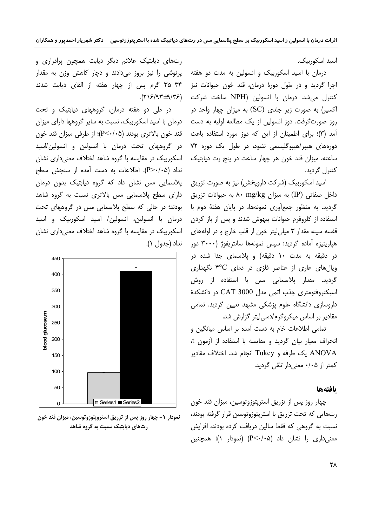اسید اسکورییک.

درمان با اسید اسکوربیک و انسولین به مدت دو هفته اجرا گردید و در طول دورهٔ درمان، قند خون حیوانات نیز کنترل میشد. درمان با انسولین (NPH ساخت شرکت (۹/۳۶-۲۱۶/۹۳). اکسیر) به صورت زیر جلدی (SC) به میزان چهار واحد در روز صورتگرفت. دوز انسولین از یک مطالعه اولیه به دست آمد (۳)؛ برای اطمینان از این که دوز مورد استفاده باعث دورههای هیپر/هیپوگلیسمی نشود، در طول یک دوره ۷۲ ساعته، میزان قند خون هر چهار ساعت در پنج رت دیابتیک كنترل گرديد.

> اسید اسکوربیک (شرکت دارویخش) نیز به صورت تزریق داخل صفاتی (IP) به میزان ۸۰ mg/kg داخل صفاتی (IP) گردید. به منظور جمعآوری نمونهها، در پایان هفتهٔ دوم با استفاده از کلروفرم حیوانات بیهوش شدند و پس از باز کردن قفسه سينه مقدار ٣ ميلي ليتر خون از قلب خارج و در لولههاي هپارینیزه آماده گردید؛ سپس نمونهها سانتریفوژ (۳۰۰۰ دور در دقیقه به مدت ۱۰ دقیقه) و پلاسمای جدا شده در ویال های عاری از عناصر فلزی در دمای ۴°C نگهداری گردید. مقدار پلاسمایی مس با استفاده از روش اسیکتروفتومتری جذب اتمی مدل CAT 3000 در دانشکدهٔ داروسازی دانشگاه علوم پزشکی مشهد تعیین گردید. تمامی مقادیر بر اساس میکروگرم/دسی لیتر گزارش شد.

تمامی اطلاعات خام به دست آمده بر اساس میانگین و انحراف معيار بيان گرديد و مقايسه با استفاده از آزمون t، ANOVA یک طرفه و Tukey انجام شد. اختلاف مقادیر کمتر از ۰/۰۵ معنی دار تلقی گردید.

## بافتهها

چهار روز پس از تزریق استرپتوزوتوسین، میزان قند خون رتهایی که تحت تزریق با استریتوزوتوسین قرار گرفته بودند، نسبت به گروهی که فقط سالین دریافت کرده بودند، افزایش معنی داری را نشان داد (P<۰/۰۵) (نمودار ۱)؛ همچنین

رتهای دیابتیک علائم دیگر دیابت همچون پرادراری و پرنوشی را نیز بروز میدادند و دچار کاهش وزن به مقدار ۳۴–۳۵ گرم پس از چهار هفته از القای دیابت شدند

در طی دو هفته درمان، گروههای دیابتیک و تحت درمان با اسید اسکوربیک، نسبت به سایر گروهها دارای میزان قند خون بالاترى بودند (P<٠/٠۵)؛ از طرفي ميزان قند خون در گروههای تحت درمان با انسولین و انسولین/اسید اسکوربیک در مقایسه با گروه شاهد اختلاف معنیداری نشان نداد (P>٠/٠۵). اطلاعات به دست آمده از سنجش سطح پلاسمایی مس نشان داد که گروه دیابتیک بدون درمان دارای سطح پلاسمایی مس بالاتری نسبت به گروه شاهد بودند؛ در حالی که سطح پلاسمایی مس در گروههای تحت درمان با انسولین، انسولین/ اسید اسکوربیک و اسید اسکوربیک در مقایسه با گروه شاهد اختلاف معنی داری نشان نداد (جدول ١).



نمودار ۱- چهار روز پس از تزریق استروپتوزوتوسین، میزان قند خون رتهای دیابتیک نسبت به گروه شاهد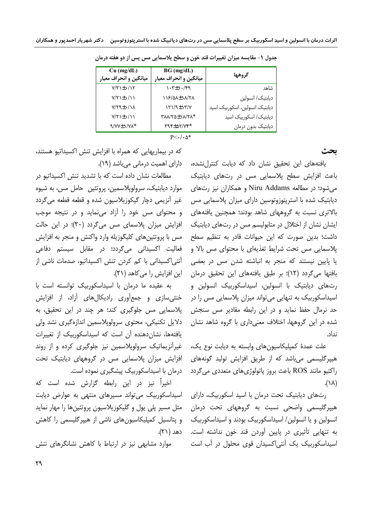| $Cu$ (mg/dL)<br>میانگین و انحراف معیار | $BG$ (mg/dL)<br>میانگین و انحراف معیار        | كروهها                         |
|----------------------------------------|-----------------------------------------------|--------------------------------|
| $V/Y$ + $\cdot$ /1۲                    | $\gamma$ / $\epsilon$ / $\epsilon$ / $\gamma$ | شاهد                           |
| $V/Y$ + $\cdot$ / 1                    | 118/QA±1A/TA                                  | ديابتيك/ انسولين               |
| $V/\Upsilon$ + $+$ /1 $\Lambda$        | $YY/\mathcal{A} \pm Y'Y'$                     | دیابتیک انسولین، اسکوربیک اسید |
| $Y/Y$ $\pm$ $\cdot$ / $\wedge$         | <b>TAA/YQ±\A/YA*</b>                          | دیابتیک/ اسکوربیک اسید         |
| $9/VV \pm 1/V\Lambda^*$                | $T97 + \Delta 7/V7*$                          | ديابتيك بدون درمان             |

جدول ١- مقايسه ميزان تغييرات قند خون و سطح پلاسمايي مس پس از دو هفته درمان

 $P<\cdot/\cdot\Delta^*$ 

ىحث

یافتههای این تحقیق نشان داد که دیابت کنترلنشده، باعث افزایش سطح پلاسمایی مس در رتهای دیابتیک می شود؛ در مطالعه Niru Addams و همکاران نیز رتهای دیابتیک شده با استرپتوزوتوسین دارای میزان پلاسمایی مس بالاتری نسبت به گروههای شاهد بودند؛ همچنین یافتههای ایشان نشان از اختلال در متابولیسم مس در رتهای دیابتیک داشت؛ بدین صورت که این حیوانات قادر به تنظیم سطح یلاسمایی مس تحت شرایط تغذیهای با محتوای مس بالا و یا پایین نیستند که منجر به انباشته شدن مس در بعضی بافتها میگردد (۱۲)؛ بر طبق یافتههای این تحقیق درمان رتهای دیابتیک با انسولین، اسیداسکوربیک انسولین و اسیداسکوربیک به تنهایی میتواند میزان پلاسمایی مس را در حد نرمال حفظ نماید و در این رابطه مقادیر مس سنجش شده در این گروهها، اختلاف معنیداری با گروه شاهد نشان نداد.

علت عمدهٔ کمپلیکاسیونهای وابسته به دیابت نوع یک، هیپرگلیسمی میباشد که از طریق افزایش تولید گونههای راکتیو مانند ROS باعث بروز پاتولوژیهای متعددی میگردد  $(\lambda \wedge)$ .

رتهای دیابتیک تحت درمان با اسید اسکوربیک، دارای هیپرگلیسمی واضحی نسب*ت* به گروههای تحت درمان انسولین و یا انسولین/ اسیداسکوربیک بودند و اسیداسکوربیک به تنهایی تأثیری در پایین آوردن قند خون نداشته است. اسیداسکوربیک یک آنتی اکسیدان قوی محلول در آب است

که در بیماریهایی که همراه با افزایش تنش اکسیداتیو هستند، دارای اهمیت درمانی میباشد (١٩).

مطالعات نشان داده است که با تشدید تنش اکسیداتیو در موارد ديابتيک، سرولوپلاسمين، پروتئين حامل مس، به شيوه غیر آنزیمی دچار گیکوزیلاسیون شده و قطعه قطعه میگردد و محتوای مس خود را آزاد می نماید و در نتیجه موجب افزایش میزان پلاسمای مس میگردد (۲۰)؛ در این حالت مس با پروتئینهای کلیگوزیله وارد واکنش و منجر به افزایش فعالیت اکسیدانی میگردد؛ در مقابل سیستم دفاعی آنتی|کسیدانی با کم کردن تنش اکسیداتیو، صدمات ناشی از این افزایش را می کاهد (۲۱).

به عقیده ما درمان با اسیداسکوربیک توانسته است با خنثی سازی و جمع آوری رادیکال های آزاد، از افزایش پلاسمایی مس جلوگیری کند؛ هر چند در این تحقیق، به دلایل تکنیکی، محتوی سرولوپلاسمین اندازهگیری نشد ولی یافتهها، نشاندهنده آن است که اسیداسکوربیک از تغییرات غیرآنزیماتیک سرولوپلاسمین نیز جلوگیری کرده و از روند افزایش میزان پلاسمایی مس در گروههای دیابتیک تحت درمان با اسیداسکوربیک پیشگیری نموده است.

اخیراً نیز در این رابطه گزارش شده است که اسیداسکوربیک می تواند مسیرهای منتهی به عوارض دیابت مثل مسیر پلی پول و گلیکوزیلاسیون پروتئینها را مهار نماید و پتانسیل کمپلیکاسیون های ناشی از هیپرگلیسمی را کاهش دهد (۲۱).

موارد مشابهی نیز در ارتباط با کاهش نشانگرهای تنش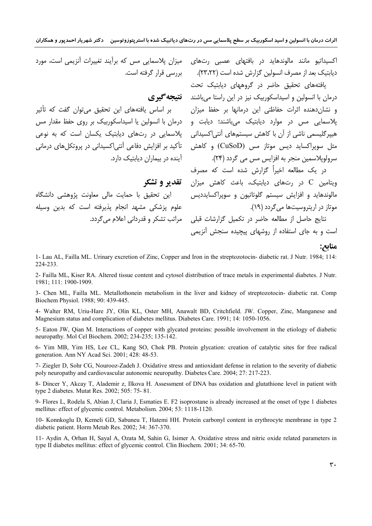اکسیداتیو مانند مالوندهاید در بافتهای عصبی رتهای ِ میزان پلاسمایی مس که برآیند تغییرات آنزیمی اس*ت*، مورد دیابتیک بعد از مصرف انسولین گزارش شده است (۲۳،۲۲). بررسی قرار گرفته است.

یافتههای تحقیق حاضر در گروههای دیابتیک تحت درمان با انسولین و اسیداسکوربیک نیز در این راستا می باشند **تقییچه گیری** و نشانِدهنده اثرات حفاظتی این درمانها بر حفظ میزان بر اساس یافتههای این تحقیق میتوان گفت که تأثیر پلاسمایی مس در موارد دیابتیک میباشند؛ دیابت و درمان با انسولین یا اسیداسکوربیک بر روی حفظ مقدار مس هیپرگلیسمی ناشی از آن با کاهش سیستمهای آنتی(کسیدانی ) پلاسمایی در رتهای دیابتیک پکسان است که به نوعی مثل سوپراکساید دیس موتاز مس (CuSoD) و کاهش تأکید بر افزایش دفاعی آنتی|کسیدانی در پروتکلهای درمانی سرولويلاسمين منجر به افزايس مس مي گردد (۲۴).

> در یک مطالعه اخیراً گزارش شده است که مصرف ویتامین C در رتهای دیابتیک، باعث کاهش میزان مالوندهايد و افزايش سيستم گلوتاتيون و سويراكسايدديس موتاز در اریتروسیتها می گردد (۱۹).

نتایج حاصل از مطالعه حاضر در تکمیل گزارشات قبلی است و به جای استفاده از روشهای پیچیده سنجش آنزیمی

### مناىح:

1- Lau AL, Failla ML. Urinary excretion of Zinc, Copper and Iron in the streptozotocin-diabetic rat. J Nutr. 1984; 114: 224-233.

آینده در بیماران دیابتیک دارد.

مراتب تشکر و قدردانی اعلام می گردد.

این تحقیق با حمایت مالی معاونت پژوهشی دانشگاه

علوم پزشکی مشهد انجام پذیرفته است که بدین وسیله

تقدیر و تشکر

2- Failla ML, Kiser RA. Altered tissue content and cytosol distribution of trace metals in experimental diabetes. J Nutr. 1981; 111: 1900-1909.

3- Chen ML, Failla ML. Metallothonein metabolism in the liver and kidney of streptozotocin- diabetic rat. Comp Biochem Physiol. 1988; 90: 439-445.

4- Walter RM, Uriu-Hare JY, Olin KL, Oster MH, Anawalt BD, Critchfield. JW. Copper, Zinc, Manganese and Magnesium status and complication of diabetes mellitus. Diabetes Care. 1991; 14: 1050-1056.

5- Eaton JW, Qian M. Interactions of copper with glycated proteins: possible involvement in the etiology of diabetic neuropathy. Mol Cel Biochem. 2002; 234-235; 135-142.

6- Yim MB, Yim HS, Lee CL, Kang SO, Chok PB. Protein glycation: creation of catalytic sites for free radical generation. Ann NY Acad Sci. 2001; 428: 48-53.

7- Ziegler D, Sohr CG, Nourooz-Zadeh J. Oxidative stress and antioxidant defense in relation to the severity of diabetic poly neuropathy and cardiovascular autonomic neuropathy. Diabetes Care. 2004; 27: 217-223.

8- Dincer Y, Akcay T, Alademir z, Ilkova H. Assessment of DNA bas oxidation and glutathione level in patient with type 2 diabetes. Mutat Res. 2002; 505: 75-81.

9- Flores L, Rodela S, Abian J, Claria J, Esmaties E. F2 isoprostane is already increased at the onset of type 1 diabetes mellitus: effect of glycemic control. Metabolism. 2004; 53: 1118-1120.

10- Konnkoglu D, Kemeli GD, Sabuneu T, Hatemi HH. Protein carbonyl content in erythrocyte membrane in type 2 diabetic patient. Horm Metab Res. 2002; 34: 367-370.

11- Aydin A, Orhan H, Sayal A, Ozata M, Sahin G, Isimer A. Oxidative stress and nitric oxide related parameters in type II diabetes mellitus: effect of glycemic control. Clin Biochem. 2001; 34: 65-70.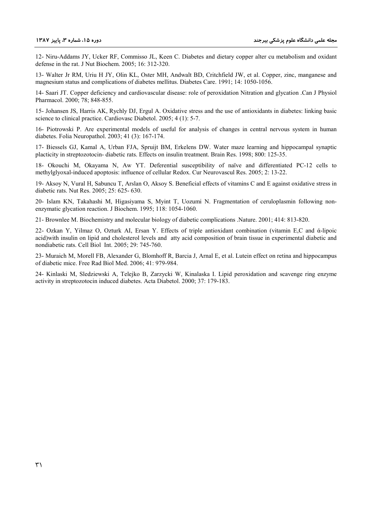12- Niru-Addams JY, Ucker RF, Commisso JL, Keen C. Diabetes and dietary copper alter cu metabolism and oxidant defense in the rat. J Nut Biochem. 2005; 16: 312-320.

13- Walter Jr RM, Uriu H JY, Olin KL, Oster MH, Andwalt BD, Critchfield JW, et al. Copper, zinc, manganese and magnesium status and complications of diabetes mellitus. Diabetes Care. 1991; 14: 1050-1056.

14- Saari JT. Copper deficiency and cardiovascular disease: role of peroxidation Nitration and glycation .Can J Physiol Pharmacol. 2000; 78; 848-855.

15- Johansen JS, Harris AK, Rychly DJ, Ergul A. Oxidative stress and the use of antioxidants in diabetes: linking basic science to clinical practice. Cardiovasc Diabetol. 2005; 4 (1): 5-7.

16- Piotrowski P. Are experimental models of useful for analysis of changes in central nervous system in human diabetes. Folia Neuropathol. 2003; 41 (3): 167-174.

17- Biessels GJ, Kamal A, Urban FJA, Spruijt BM, Erkelens DW. Water maze learning and hippocampal synaptic placticity in streptozotocin- diabetic rats. Effects on insulin treatment. Brain Res. 1998; 800: 125-35.

18- Okouchi M, Okayama N, Aw YT. Deferential susceptibility of naïve and differentiated PC-12 cells to methylglyoxal-induced apoptosis: influence of cellular Redox. Cur Neurovascul Res. 2005; 2: 13-22.

19- Aksoy N, Vural H, Sabuncu T, Arslan O, Aksoy S. Beneficial effects of vitamins C and E against oxidative stress in diabetic rats. Nut Res. 2005; 25: 625- 630.

20- Islam KN, Takahashi M, Higasiyama S, Myint T, Uozumi N. Fragmentation of ceruloplasmin following nonenzymatic glycation reaction. J Biochem. 1995; 118: 1054-1060.

21- Brownlee M. Biochemistry and molecular biology of diabetic complications .Nature. 2001; 414: 813-820.

22- Ozkan Y, Yilmaz O, Ozturk AI, Ersan Y. Effects of triple antioxidant combination (vitamin E,C and á-lipoic acid)with insulin on lipid and cholesterol levels and atty acid composition of brain tissue in experimental diabetic and nondiabetic rats. Cell Biol Int. 2005; 29: 745-760.

23- Muraich M, Morell FB, Alexander G, Blomhoff R, Barcia J, Arnal E, et al. Lutein effect on retina and hippocampus of diabetic mice. Free Rad Biol Med. 2006; 41: 979-984.

24- Kinlaski M, Sledziewski A, Telejko B, Zarzycki W, Kinalaska I. Lipid peroxidation and scavenge ring enzyme activity in streptozotocin induced diabetes. Acta Diabetol. 2000; 37: 179-183.